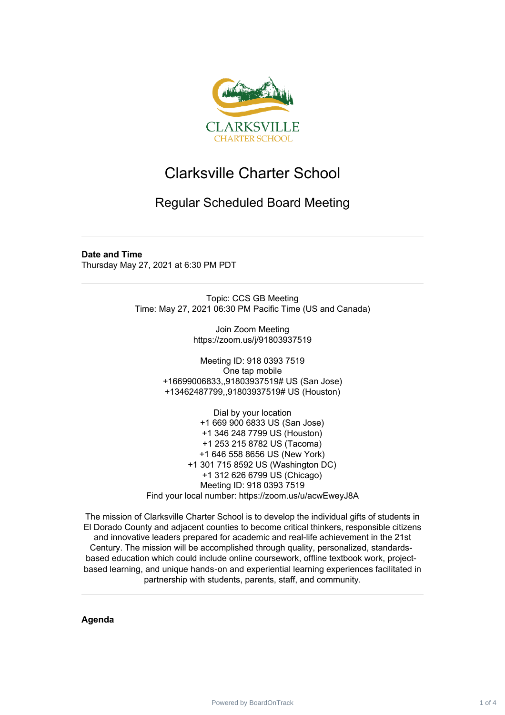

## Clarksville Charter School

## Regular Scheduled Board Meeting

## **Date and Time**

Thursday May 27, 2021 at 6:30 PM PDT

Topic: CCS GB Meeting Time: May 27, 2021 06:30 PM Pacific Time (US and Canada)

> Join Zoom Meeting https://zoom.us/j/91803937519

Meeting ID: 918 0393 7519 One tap mobile +16699006833,,91803937519# US (San Jose) +13462487799,,91803937519# US (Houston)

Dial by your location +1 669 900 6833 US (San Jose) +1 346 248 7799 US (Houston) +1 253 215 8782 US (Tacoma) +1 646 558 8656 US (New York) +1 301 715 8592 US (Washington DC) +1 312 626 6799 US (Chicago) Meeting ID: 918 0393 7519 Find your local number: https://zoom.us/u/acwEweyJ8A

The mission of Clarksville Charter School is to develop the individual gifts of students in El Dorado County and adjacent counties to become critical thinkers, responsible citizens and innovative leaders prepared for academic and real-life achievement in the 21st Century. The mission will be accomplished through quality, personalized, standardsbased education which could include online coursework, offline textbook work, projectbased learning, and unique hands‐on and experiential learning experiences facilitated in partnership with students, parents, staff, and community.

**Agenda**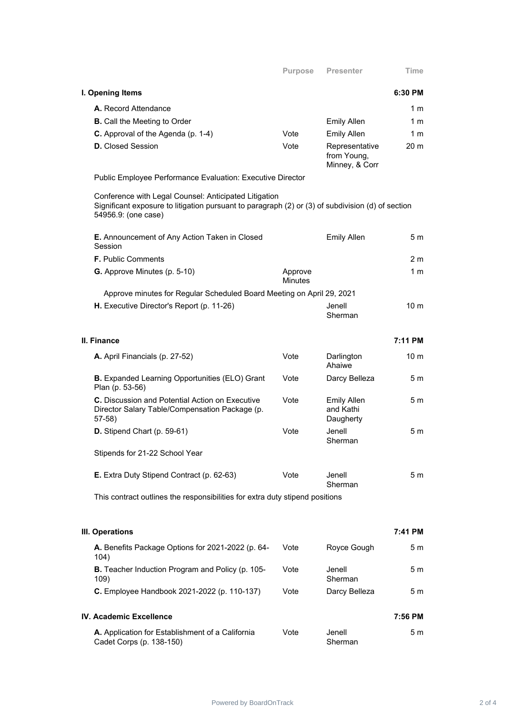| I. Opening Items                                                                                                                                                                  |                           |                                                 | 6:30 PM         |
|-----------------------------------------------------------------------------------------------------------------------------------------------------------------------------------|---------------------------|-------------------------------------------------|-----------------|
| A. Record Attendance                                                                                                                                                              |                           |                                                 | 1 m             |
| <b>B.</b> Call the Meeting to Order                                                                                                                                               |                           | <b>Emily Allen</b>                              | 1 m             |
| C. Approval of the Agenda (p. 1-4)                                                                                                                                                | Vote                      | <b>Emily Allen</b>                              | 1 m             |
| <b>D.</b> Closed Session                                                                                                                                                          | Vote                      | Representative<br>from Young,<br>Minney, & Corr | 20 <sub>m</sub> |
| Public Employee Performance Evaluation: Executive Director                                                                                                                        |                           |                                                 |                 |
| Conference with Legal Counsel: Anticipated Litigation<br>Significant exposure to litigation pursuant to paragraph (2) or (3) of subdivision (d) of section<br>54956.9: (one case) |                           |                                                 |                 |
| E. Announcement of Any Action Taken in Closed<br>Session                                                                                                                          |                           | <b>Emily Allen</b>                              | 5 m             |
| <b>F.</b> Public Comments                                                                                                                                                         |                           |                                                 | 2 m             |
| G. Approve Minutes (p. 5-10)                                                                                                                                                      | Approve<br><b>Minutes</b> |                                                 | 1 <sub>m</sub>  |
| Approve minutes for Regular Scheduled Board Meeting on April 29, 2021                                                                                                             |                           |                                                 |                 |
| H. Executive Director's Report (p. 11-26)                                                                                                                                         |                           | Jenell<br>Sherman                               | 10 <sub>m</sub> |
| II. Finance                                                                                                                                                                       |                           |                                                 | 7:11 PM         |
| A. April Financials (p. 27-52)                                                                                                                                                    | Vote                      | Darlington<br>Ahaiwe                            | 10 <sub>m</sub> |
| <b>B.</b> Expanded Learning Opportunities (ELO) Grant<br>Plan (p. 53-56)                                                                                                          | Vote                      | Darcy Belleza                                   | 5 m             |
| C. Discussion and Potential Action on Executive<br>Director Salary Table/Compensation Package (p.<br>$57-58$ )                                                                    | Vote                      | <b>Emily Allen</b><br>and Kathi<br>Daugherty    | 5 m             |
| D. Stipend Chart (p. 59-61)                                                                                                                                                       | Vote                      | Jenell.<br>Sherman                              | 5 m             |
| Stipends for 21-22 School Year                                                                                                                                                    |                           |                                                 |                 |
| E. Extra Duty Stipend Contract (p. 62-63)                                                                                                                                         | Vote                      | Jenell<br>Sherman                               | 5 m             |
| This contract outlines the responsibilities for extra duty stipend positions                                                                                                      |                           |                                                 |                 |
| III. Operations                                                                                                                                                                   |                           |                                                 | 7:41 PM         |
| A. Benefits Package Options for 2021-2022 (p. 64-<br>104)                                                                                                                         | Vote                      | Royce Gough                                     | 5 m             |
| B. Teacher Induction Program and Policy (p. 105-<br>109)                                                                                                                          | Vote                      | Jenell<br>Sherman                               | 5 <sub>m</sub>  |
| C. Employee Handbook 2021-2022 (p. 110-137)                                                                                                                                       | Vote                      | Darcy Belleza                                   | 5 m             |
| <b>IV. Academic Excellence</b>                                                                                                                                                    |                           |                                                 | 7:56 PM         |
| A. Application for Establishment of a California<br>Cadet Corps (p. 138-150)                                                                                                      | Vote                      | Jenell<br>Sherman                               | 5 <sub>m</sub>  |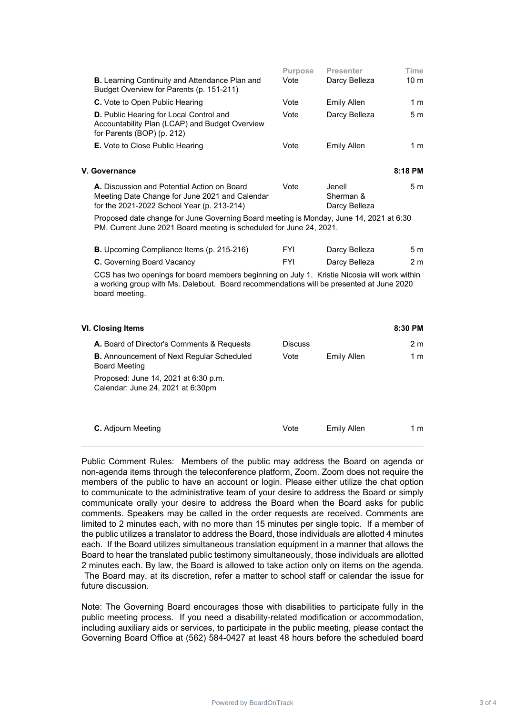|                                                                                                                                | <b>Purpose</b> | <b>Presenter</b>   | Time            |
|--------------------------------------------------------------------------------------------------------------------------------|----------------|--------------------|-----------------|
| <b>B.</b> Learning Continuity and Attendance Plan and<br>Budget Overview for Parents (p. 151-211)                              | Vote           | Darcy Belleza      | 10 <sub>m</sub> |
| C. Vote to Open Public Hearing                                                                                                 | Vote           | <b>Emily Allen</b> | 1 m             |
| <b>D.</b> Public Hearing for Local Control and<br>Accountability Plan (LCAP) and Budget Overview<br>for Parents (BOP) (p. 212) | Vote           | Darcy Belleza      | 5 <sub>m</sub>  |
| <b>E.</b> Vote to Close Public Hearing                                                                                         | Vote           | <b>Emily Allen</b> | 1 m             |

| V. Governance                                  |      |               | 8:18 PM |
|------------------------------------------------|------|---------------|---------|
| A. Discussion and Potential Action on Board    | Vote | Jenell        | 5m      |
| Meeting Date Change for June 2021 and Calendar |      | Sherman &     |         |
| for the 2021-2022 School Year (p. 213-214)     |      | Darcy Belleza |         |

Proposed date change for June Governing Board meeting is Monday, June 14, 2021 at 6:30 PM. Current June 2021 Board meeting is scheduled for June 24, 2021.

| <b>B.</b> Upcoming Compliance Items (p. 215-216) | FYI | Darcy Belleza | 5m  |
|--------------------------------------------------|-----|---------------|-----|
| <b>C.</b> Governing Board Vacancy                | FYI | Darcy Belleza | 2 m |

CCS has two openings for board members beginning on July 1. Kristie Nicosia will work within a working group with Ms. Dalebout. Board recommendations will be presented at June 2020 board meeting.

| VI. Closing Items                                                         |                |             | 8:30 PM |
|---------------------------------------------------------------------------|----------------|-------------|---------|
| <b>A.</b> Board of Director's Comments & Requests                         | <b>Discuss</b> |             | 2 m     |
| <b>B.</b> Announcement of Next Regular Scheduled<br><b>Board Meeting</b>  | Vote           | Emily Allen | 1 m     |
| Proposed: June 14, 2021 at 6:30 p.m.<br>Calendar: June 24, 2021 at 6:30pm |                |             |         |
| <b>C.</b> Adjourn Meeting                                                 | Vote           | Emily Allen | 1 m     |

Public Comment Rules: Members of the public may address the Board on agenda or non-agenda items through the teleconference platform, Zoom. Zoom does not require the members of the public to have an account or login. Please either utilize the chat option to communicate to the administrative team of your desire to address the Board or simply communicate orally your desire to address the Board when the Board asks for public comments. Speakers may be called in the order requests are received. Comments are limited to 2 minutes each, with no more than 15 minutes per single topic. If a member of the public utilizes a translator to address the Board, those individuals are allotted 4 minutes each. If the Board utilizes simultaneous translation equipment in a manner that allows the Board to hear the translated public testimony simultaneously, those individuals are allotted 2 minutes each. By law, the Board is allowed to take action only on items on the agenda. The Board may, at its discretion, refer a matter to school staff or calendar the issue for future discussion.

Note: The Governing Board encourages those with disabilities to participate fully in the public meeting process. If you need a disability-related modification or accommodation, including auxiliary aids or services, to participate in the public meeting, please contact the Governing Board Office at (562) 584-0427 at least 48 hours before the scheduled board